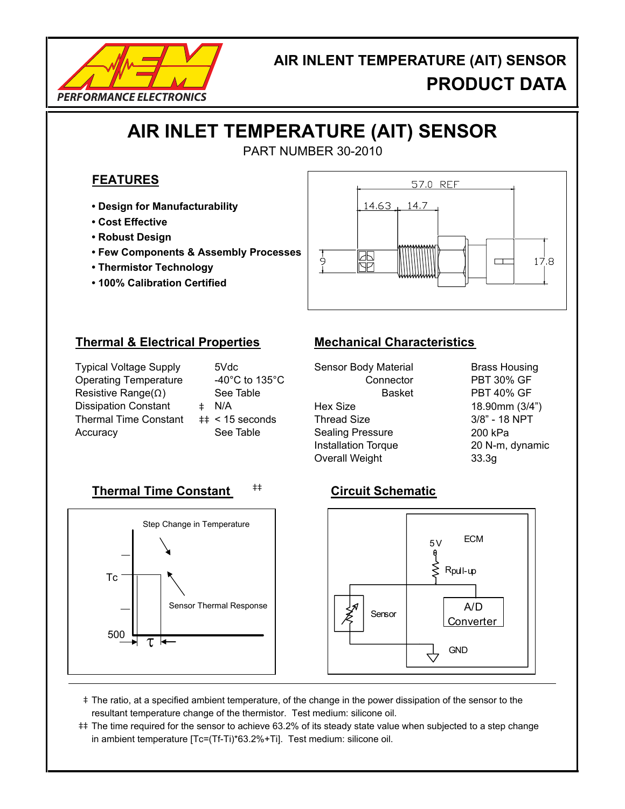

## **AIR INLENT TEMPERATURE (AIT) SENSOR PRODUCT DATA**

# **AIR INLET TEMPERATURE (AIT) SENSOR**

PART NUMBER 30-2010

### **FEATURES**

- **Design for Manufacturability**
- **Cost Effective**
- **Robust Design**
- **Few Components & Assembly Processes**
- **Thermistor Technology**
- **100% Calibration Certified**



### **Thermal & Electrical Properties Mechanical Characteristics**

Typical Voltage Supply Operating Temperature Resistive Range(Ω ) Dissipation Constant  $\qquad$  ‡ Thermal Time Constant  $\quad$  ‡ Accuracy **Exercise See Table Constructs** Sealing Pressure **Constructs** 200 kPa

|    | 5Vdc               |
|----|--------------------|
|    | -40°C to 135°C     |
|    | See Table          |
| Ė. | N/A                |
|    | $\pm$ < 15 seconds |
|    | See Table          |
|    |                    |

Sensor Body Material Connector Hex Size Thread Size Installation Torque Overall Weight

Brass Housing PBT 30% GF 18.90mm (3/4") 3/8" - 18 NPT 20 N-m, dynamic 33.3g Basket PBT 40% GF

## **Thermal Time Constant** ‡‡ **Circuit Schematic**





- ‡ The ratio, at a specified ambient temperature, of the change in the power dissipation of the sensor to the resultant temperature change of the thermistor. Test medium: silicone oil.
- ‡‡ The time required for the sensor to achieve 63.2% of its steady state value when subjected to a step change in ambient temperature [Tc=(Tf-Ti)\*63.2%+Ti]. Test medium: silicone oil.